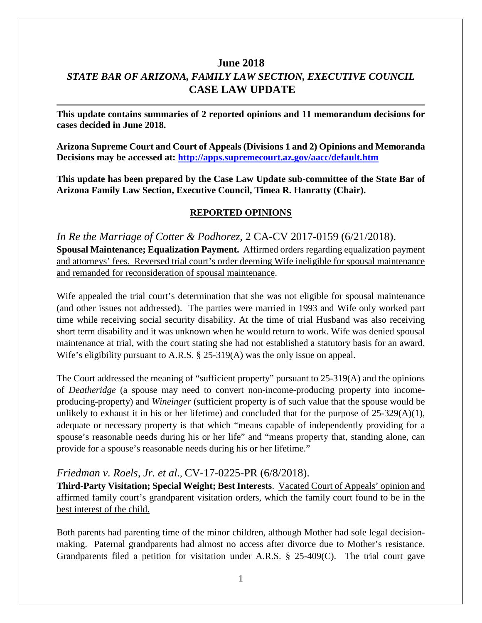# **June 2018** *STATE BAR OF ARIZONA, FAMILY LAW SECTION, EXECUTIVE COUNCIL* **CASE LAW UPDATE**

**This update contains summaries of 2 reported opinions and 11 memorandum decisions for cases decided in June 2018.**

**Arizona Supreme Court and Court of Appeals (Divisions 1 and 2) Opinions and Memoranda Decisions may be accessed at: <http://apps.supremecourt.az.gov/aacc/default.htm>**

**This update has been prepared by the Case Law Update sub-committee of the State Bar of Arizona Family Law Section, Executive Council, Timea R. Hanratty (Chair).**

#### **REPORTED OPINIONS**

*In Re the Marriage of Cotter & Podhorez*, 2 CA-CV 2017-0159 (6/21/2018). **Spousal Maintenance; Equalization Payment.** Affirmed orders regarding equalization payment and attorneys' fees. Reversed trial court's order deeming Wife ineligible for spousal maintenance and remanded for reconsideration of spousal maintenance.

Wife appealed the trial court's determination that she was not eligible for spousal maintenance (and other issues not addressed). The parties were married in 1993 and Wife only worked part time while receiving social security disability. At the time of trial Husband was also receiving short term disability and it was unknown when he would return to work. Wife was denied spousal maintenance at trial, with the court stating she had not established a statutory basis for an award. Wife's eligibility pursuant to A.R.S. § 25-319(A) was the only issue on appeal.

The Court addressed the meaning of "sufficient property" pursuant to 25-319(A) and the opinions of *Deatheridge* (a spouse may need to convert non-income-producing property into incomeproducing-property) and *Wineinger* (sufficient property is of such value that the spouse would be unlikely to exhaust it in his or her lifetime) and concluded that for the purpose of 25-329(A)(1), adequate or necessary property is that which "means capable of independently providing for a spouse's reasonable needs during his or her life" and "means property that, standing alone, can provide for a spouse's reasonable needs during his or her lifetime."

#### *Friedman v. Roels, Jr. et al.*, [CV-17-0225-PR](https://www.azcourts.gov/Portals/0/OpinionFiles/Supreme/2018/CV-17-0225-PR.pdf) (6/8/2018).

**Third-Party Visitation; Special Weight; Best Interests**. Vacated Court of Appeals' opinion and affirmed family court's grandparent visitation orders, which the family court found to be in the best interest of the child.

Both parents had parenting time of the minor children, although Mother had sole legal decisionmaking. Paternal grandparents had almost no access after divorce due to Mother's resistance. Grandparents filed a petition for visitation under A.R.S. § 25-409(C). The trial court gave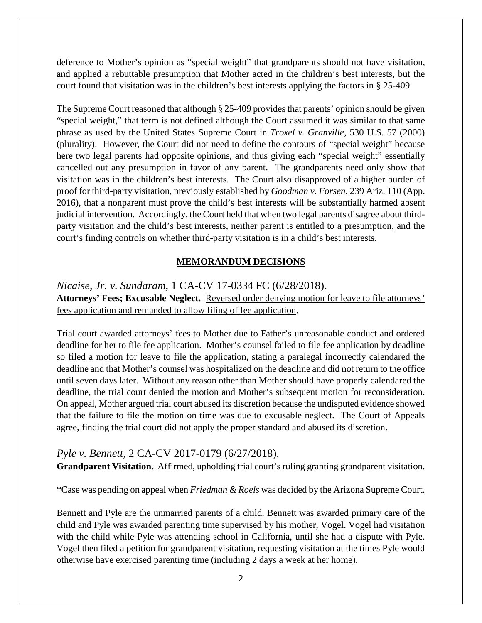deference to Mother's opinion as "special weight" that grandparents should not have visitation, and applied a rebuttable presumption that Mother acted in the children's best interests, but the court found that visitation was in the children's best interests applying the factors in § 25-409.

The Supreme Court reasoned that although § 25-409 provides that parents' opinion should be given "special weight," that term is not defined although the Court assumed it was similar to that same phrase as used by the United States Supreme Court in *Troxel v. Granville*, 530 U.S. 57 (2000) (plurality). However, the Court did not need to define the contours of "special weight" because here two legal parents had opposite opinions, and thus giving each "special weight" essentially cancelled out any presumption in favor of any parent. The grandparents need only show that visitation was in the children's best interests. The Court also disapproved of a higher burden of proof for third-party visitation, previously established by *Goodman v. Forsen*, 239 Ariz. 110 (App. 2016), that a nonparent must prove the child's best interests will be substantially harmed absent judicial intervention. Accordingly, the Court held that when two legal parents disagree about thirdparty visitation and the child's best interests, neither parent is entitled to a presumption, and the court's finding controls on whether third-party visitation is in a child's best interests.

### **MEMORANDUM DECISIONS**

*Nicaise, Jr. v. Sundaram*, 1 CA-CV 17-0334 FC (6/28/2018). **Attorneys' Fees; Excusable Neglect.** Reversed order denying motion for leave to file attorneys' fees application and remanded to allow filing of fee application.

Trial court awarded attorneys' fees to Mother due to Father's unreasonable conduct and ordered deadline for her to file fee application. Mother's counsel failed to file fee application by deadline so filed a motion for leave to file the application, stating a paralegal incorrectly calendared the deadline and that Mother's counsel was hospitalized on the deadline and did not return to the office until seven days later. Without any reason other than Mother should have properly calendared the deadline, the trial court denied the motion and Mother's subsequent motion for reconsideration. On appeal, Mother argued trial court abused its discretion because the undisputed evidence showed that the failure to file the motion on time was due to excusable neglect. The Court of Appeals agree, finding the trial court did not apply the proper standard and abused its discretion.

*Pyle v. Bennett*, 2 CA-CV 2017-0179 (6/27/2018). **Grandparent Visitation.** Affirmed, upholding trial court's ruling granting grandparent visitation.

\*Case was pending on appeal when *Friedman & Roels* was decided by the Arizona Supreme Court.

Bennett and Pyle are the unmarried parents of a child. Bennett was awarded primary care of the child and Pyle was awarded parenting time supervised by his mother, Vogel. Vogel had visitation with the child while Pyle was attending school in California, until she had a dispute with Pyle. Vogel then filed a petition for grandparent visitation, requesting visitation at the times Pyle would otherwise have exercised parenting time (including 2 days a week at her home).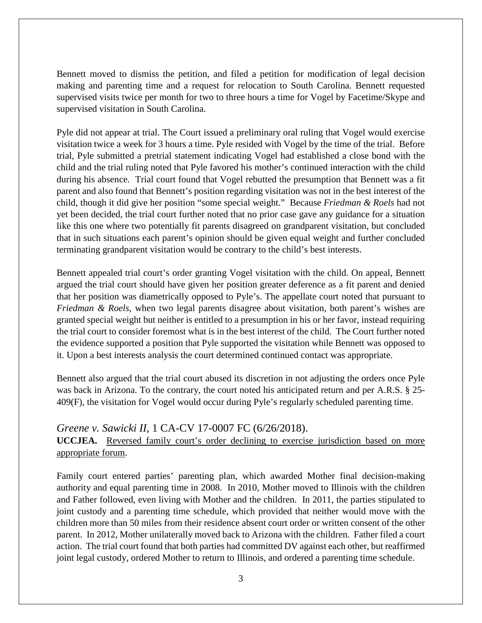Bennett moved to dismiss the petition, and filed a petition for modification of legal decision making and parenting time and a request for relocation to South Carolina. Bennett requested supervised visits twice per month for two to three hours a time for Vogel by Facetime/Skype and supervised visitation in South Carolina.

Pyle did not appear at trial. The Court issued a preliminary oral ruling that Vogel would exercise visitation twice a week for 3 hours a time. Pyle resided with Vogel by the time of the trial. Before trial, Pyle submitted a pretrial statement indicating Vogel had established a close bond with the child and the trial ruling noted that Pyle favored his mother's continued interaction with the child during his absence. Trial court found that Vogel rebutted the presumption that Bennett was a fit parent and also found that Bennett's position regarding visitation was not in the best interest of the child, though it did give her position "some special weight." Because *Friedman & Roels* had not yet been decided, the trial court further noted that no prior case gave any guidance for a situation like this one where two potentially fit parents disagreed on grandparent visitation, but concluded that in such situations each parent's opinion should be given equal weight and further concluded terminating grandparent visitation would be contrary to the child's best interests.

Bennett appealed trial court's order granting Vogel visitation with the child. On appeal, Bennett argued the trial court should have given her position greater deference as a fit parent and denied that her position was diametrically opposed to Pyle's. The appellate court noted that pursuant to *Friedman & Roels,* when two legal parents disagree about visitation, both parent's wishes are granted special weight but neither is entitled to a presumption in his or her favor, instead requiring the trial court to consider foremost what is in the best interest of the child. The Court further noted the evidence supported a position that Pyle supported the visitation while Bennett was opposed to it. Upon a best interests analysis the court determined continued contact was appropriate.

Bennett also argued that the trial court abused its discretion in not adjusting the orders once Pyle was back in Arizona. To the contrary, the court noted his anticipated return and per A.R.S. § 25- 409(F), the visitation for Vogel would occur during Pyle's regularly scheduled parenting time.

## *Greene v. Sawicki II*, 1 CA-CV 17-0007 FC (6/26/2018). **UCCJEA.** Reversed family court's order declining to exercise jurisdiction based on more appropriate forum.

Family court entered parties' parenting plan, which awarded Mother final decision-making authority and equal parenting time in 2008. In 2010, Mother moved to Illinois with the children and Father followed, even living with Mother and the children. In 2011, the parties stipulated to joint custody and a parenting time schedule, which provided that neither would move with the children more than 50 miles from their residence absent court order or written consent of the other parent. In 2012, Mother unilaterally moved back to Arizona with the children. Father filed a court action. The trial court found that both parties had committed DV against each other, but reaffirmed joint legal custody, ordered Mother to return to Illinois, and ordered a parenting time schedule.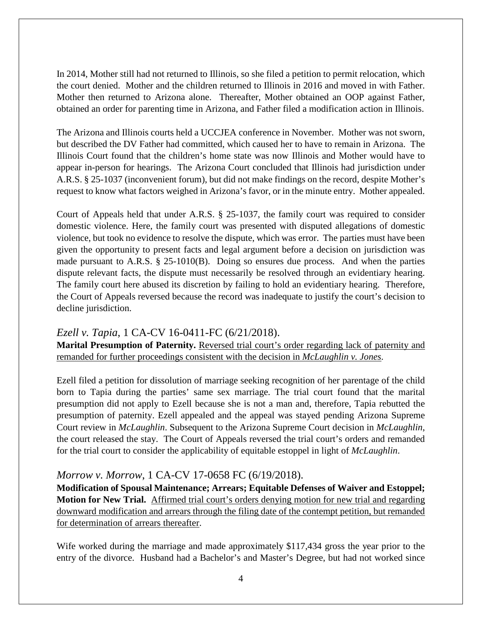In 2014, Mother still had not returned to Illinois, so she filed a petition to permit relocation, which the court denied. Mother and the children returned to Illinois in 2016 and moved in with Father. Mother then returned to Arizona alone. Thereafter, Mother obtained an OOP against Father, obtained an order for parenting time in Arizona, and Father filed a modification action in Illinois.

The Arizona and Illinois courts held a UCCJEA conference in November. Mother was not sworn, but described the DV Father had committed, which caused her to have to remain in Arizona. The Illinois Court found that the children's home state was now Illinois and Mother would have to appear in-person for hearings. The Arizona Court concluded that Illinois had jurisdiction under A.R.S. § 25-1037 (inconvenient forum), but did not make findings on the record, despite Mother's request to know what factors weighed in Arizona's favor, or in the minute entry. Mother appealed.

Court of Appeals held that under A.R.S. § 25-1037, the family court was required to consider domestic violence. Here, the family court was presented with disputed allegations of domestic violence, but took no evidence to resolve the dispute, which was error. The parties must have been given the opportunity to present facts and legal argument before a decision on jurisdiction was made pursuant to A.R.S. § 25-1010(B). Doing so ensures due process. And when the parties dispute relevant facts, the dispute must necessarily be resolved through an evidentiary hearing. The family court here abused its discretion by failing to hold an evidentiary hearing. Therefore, the Court of Appeals reversed because the record was inadequate to justify the court's decision to decline jurisdiction.

## *Ezell v. Tapia*, 1 CA-CV 16-0411-FC (6/21/2018).

**Marital Presumption of Paternity.** Reversed trial court's order regarding lack of paternity and remanded for further proceedings consistent with the decision in *McLaughlin v. Jones*.

Ezell filed a petition for dissolution of marriage seeking recognition of her parentage of the child born to Tapia during the parties' same sex marriage. The trial court found that the marital presumption did not apply to Ezell because she is not a man and, therefore, Tapia rebutted the presumption of paternity. Ezell appealed and the appeal was stayed pending Arizona Supreme Court review in *McLaughlin*. Subsequent to the Arizona Supreme Court decision in *McLaughlin*, the court released the stay. The Court of Appeals reversed the trial court's orders and remanded for the trial court to consider the applicability of equitable estoppel in light of *McLaughlin*.

## *Morrow v. Morrow*, 1 CA-CV 17-0658 FC (6/19/2018).

**Modification of Spousal Maintenance; Arrears; Equitable Defenses of Waiver and Estoppel; Motion for New Trial.** Affirmed trial court's orders denying motion for new trial and regarding downward modification and arrears through the filing date of the contempt petition, but remanded for determination of arrears thereafter.

Wife worked during the marriage and made approximately \$117,434 gross the year prior to the entry of the divorce. Husband had a Bachelor's and Master's Degree, but had not worked since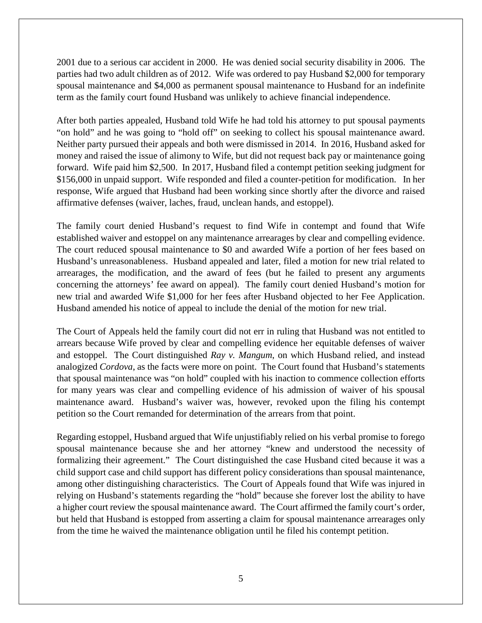2001 due to a serious car accident in 2000. He was denied social security disability in 2006. The parties had two adult children as of 2012. Wife was ordered to pay Husband \$2,000 for temporary spousal maintenance and \$4,000 as permanent spousal maintenance to Husband for an indefinite term as the family court found Husband was unlikely to achieve financial independence.

After both parties appealed, Husband told Wife he had told his attorney to put spousal payments "on hold" and he was going to "hold off" on seeking to collect his spousal maintenance award. Neither party pursued their appeals and both were dismissed in 2014. In 2016, Husband asked for money and raised the issue of alimony to Wife, but did not request back pay or maintenance going forward. Wife paid him \$2,500. In 2017, Husband filed a contempt petition seeking judgment for \$156,000 in unpaid support. Wife responded and filed a counter-petition for modification. In her response, Wife argued that Husband had been working since shortly after the divorce and raised affirmative defenses (waiver, laches, fraud, unclean hands, and estoppel).

The family court denied Husband's request to find Wife in contempt and found that Wife established waiver and estoppel on any maintenance arrearages by clear and compelling evidence. The court reduced spousal maintenance to \$0 and awarded Wife a portion of her fees based on Husband's unreasonableness. Husband appealed and later, filed a motion for new trial related to arrearages, the modification, and the award of fees (but he failed to present any arguments concerning the attorneys' fee award on appeal). The family court denied Husband's motion for new trial and awarded Wife \$1,000 for her fees after Husband objected to her Fee Application. Husband amended his notice of appeal to include the denial of the motion for new trial.

The Court of Appeals held the family court did not err in ruling that Husband was not entitled to arrears because Wife proved by clear and compelling evidence her equitable defenses of waiver and estoppel. The Court distinguished *Ray v. Mangum*, on which Husband relied, and instead analogized *Cordova*, as the facts were more on point. The Court found that Husband's statements that spousal maintenance was "on hold" coupled with his inaction to commence collection efforts for many years was clear and compelling evidence of his admission of waiver of his spousal maintenance award. Husband's waiver was, however, revoked upon the filing his contempt petition so the Court remanded for determination of the arrears from that point.

Regarding estoppel, Husband argued that Wife unjustifiably relied on his verbal promise to forego spousal maintenance because she and her attorney "knew and understood the necessity of formalizing their agreement." The Court distinguished the case Husband cited because it was a child support case and child support has different policy considerations than spousal maintenance, among other distinguishing characteristics. The Court of Appeals found that Wife was injured in relying on Husband's statements regarding the "hold" because she forever lost the ability to have a higher court review the spousal maintenance award. The Court affirmed the family court's order, but held that Husband is estopped from asserting a claim for spousal maintenance arrearages only from the time he waived the maintenance obligation until he filed his contempt petition.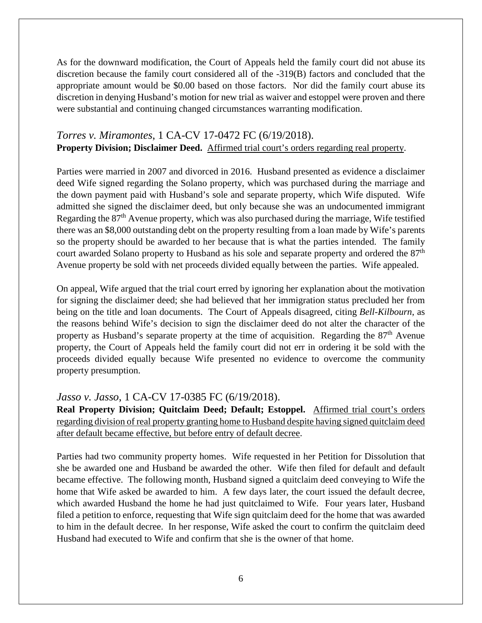As for the downward modification, the Court of Appeals held the family court did not abuse its discretion because the family court considered all of the -319(B) factors and concluded that the appropriate amount would be \$0.00 based on those factors. Nor did the family court abuse its discretion in denying Husband's motion for new trial as waiver and estoppel were proven and there were substantial and continuing changed circumstances warranting modification.

# *Torres v. Miramontes*, 1 CA-CV 17-0472 FC (6/19/2018). **Property Division; Disclaimer Deed.** Affirmed trial court's orders regarding real property.

Parties were married in 2007 and divorced in 2016. Husband presented as evidence a disclaimer deed Wife signed regarding the Solano property, which was purchased during the marriage and the down payment paid with Husband's sole and separate property, which Wife disputed. Wife admitted she signed the disclaimer deed, but only because she was an undocumented immigrant Regarding the 87<sup>th</sup> Avenue property, which was also purchased during the marriage, Wife testified there was an \$8,000 outstanding debt on the property resulting from a loan made by Wife's parents so the property should be awarded to her because that is what the parties intended. The family court awarded Solano property to Husband as his sole and separate property and ordered the 87<sup>th</sup> Avenue property be sold with net proceeds divided equally between the parties. Wife appealed.

On appeal, Wife argued that the trial court erred by ignoring her explanation about the motivation for signing the disclaimer deed; she had believed that her immigration status precluded her from being on the title and loan documents. The Court of Appeals disagreed, citing *Bell-Kilbourn*, as the reasons behind Wife's decision to sign the disclaimer deed do not alter the character of the property as Husband's separate property at the time of acquisition. Regarding the  $87<sup>th</sup>$  Avenue property, the Court of Appeals held the family court did not err in ordering it be sold with the proceeds divided equally because Wife presented no evidence to overcome the community property presumption.

#### *Jasso v. Jasso*, 1 CA-CV 17-0385 FC (6/19/2018).

**Real Property Division; Quitclaim Deed; Default; Estoppel.** Affirmed trial court's orders regarding division of real property granting home to Husband despite having signed quitclaim deed after default became effective, but before entry of default decree.

Parties had two community property homes. Wife requested in her Petition for Dissolution that she be awarded one and Husband be awarded the other. Wife then filed for default and default became effective. The following month, Husband signed a quitclaim deed conveying to Wife the home that Wife asked be awarded to him. A few days later, the court issued the default decree, which awarded Husband the home he had just quitclaimed to Wife. Four years later, Husband filed a petition to enforce, requesting that Wife sign quitclaim deed for the home that was awarded to him in the default decree. In her response, Wife asked the court to confirm the quitclaim deed Husband had executed to Wife and confirm that she is the owner of that home.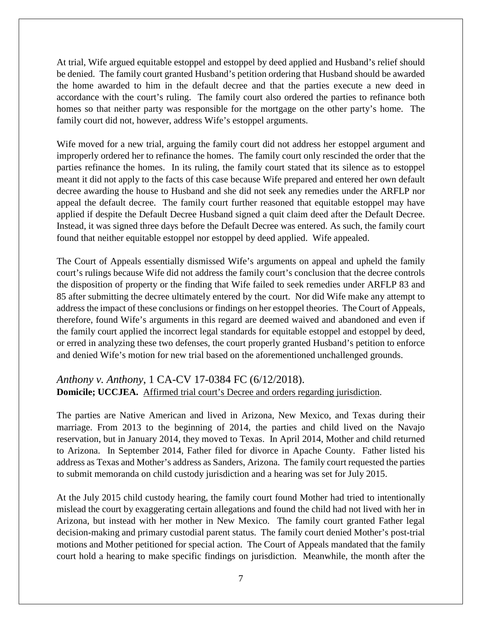At trial, Wife argued equitable estoppel and estoppel by deed applied and Husband's relief should be denied. The family court granted Husband's petition ordering that Husband should be awarded the home awarded to him in the default decree and that the parties execute a new deed in accordance with the court's ruling. The family court also ordered the parties to refinance both homes so that neither party was responsible for the mortgage on the other party's home. The family court did not, however, address Wife's estoppel arguments.

Wife moved for a new trial, arguing the family court did not address her estoppel argument and improperly ordered her to refinance the homes. The family court only rescinded the order that the parties refinance the homes. In its ruling, the family court stated that its silence as to estoppel meant it did not apply to the facts of this case because Wife prepared and entered her own default decree awarding the house to Husband and she did not seek any remedies under the ARFLP nor appeal the default decree. The family court further reasoned that equitable estoppel may have applied if despite the Default Decree Husband signed a quit claim deed after the Default Decree. Instead, it was signed three days before the Default Decree was entered. As such, the family court found that neither equitable estoppel nor estoppel by deed applied. Wife appealed.

The Court of Appeals essentially dismissed Wife's arguments on appeal and upheld the family court's rulings because Wife did not address the family court's conclusion that the decree controls the disposition of property or the finding that Wife failed to seek remedies under ARFLP 83 and 85 after submitting the decree ultimately entered by the court. Nor did Wife make any attempt to address the impact of these conclusions or findings on her estoppel theories. The Court of Appeals, therefore, found Wife's arguments in this regard are deemed waived and abandoned and even if the family court applied the incorrect legal standards for equitable estoppel and estoppel by deed, or erred in analyzing these two defenses, the court properly granted Husband's petition to enforce and denied Wife's motion for new trial based on the aforementioned unchallenged grounds.

## *Anthony v. Anthony*, 1 CA-CV 17-0384 FC (6/12/2018). **Domicile; UCCJEA.** Affirmed trial court's Decree and orders regarding jurisdiction.

The parties are Native American and lived in Arizona, New Mexico, and Texas during their marriage. From 2013 to the beginning of 2014, the parties and child lived on the Navajo reservation, but in January 2014, they moved to Texas. In April 2014, Mother and child returned to Arizona. In September 2014, Father filed for divorce in Apache County. Father listed his address as Texas and Mother's address as Sanders, Arizona. The family court requested the parties to submit memoranda on child custody jurisdiction and a hearing was set for July 2015.

At the July 2015 child custody hearing, the family court found Mother had tried to intentionally mislead the court by exaggerating certain allegations and found the child had not lived with her in Arizona, but instead with her mother in New Mexico. The family court granted Father legal decision-making and primary custodial parent status. The family court denied Mother's post-trial motions and Mother petitioned for special action. The Court of Appeals mandated that the family court hold a hearing to make specific findings on jurisdiction. Meanwhile, the month after the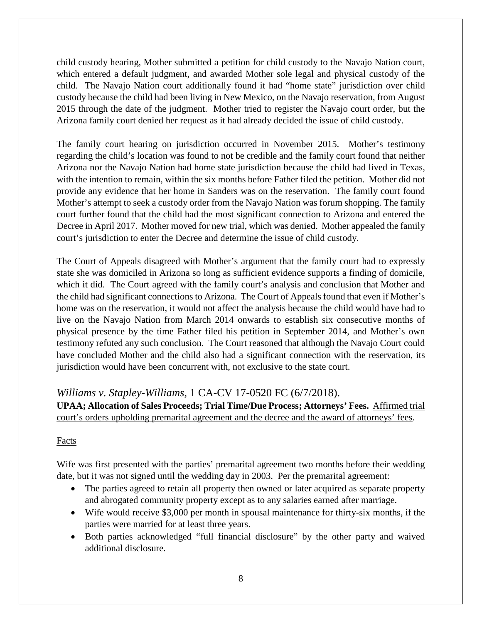child custody hearing, Mother submitted a petition for child custody to the Navajo Nation court, which entered a default judgment, and awarded Mother sole legal and physical custody of the child. The Navajo Nation court additionally found it had "home state" jurisdiction over child custody because the child had been living in New Mexico, on the Navajo reservation, from August 2015 through the date of the judgment. Mother tried to register the Navajo court order, but the Arizona family court denied her request as it had already decided the issue of child custody.

The family court hearing on jurisdiction occurred in November 2015. Mother's testimony regarding the child's location was found to not be credible and the family court found that neither Arizona nor the Navajo Nation had home state jurisdiction because the child had lived in Texas, with the intention to remain, within the six months before Father filed the petition. Mother did not provide any evidence that her home in Sanders was on the reservation. The family court found Mother's attempt to seek a custody order from the Navajo Nation was forum shopping. The family court further found that the child had the most significant connection to Arizona and entered the Decree in April 2017. Mother moved for new trial, which was denied. Mother appealed the family court's jurisdiction to enter the Decree and determine the issue of child custody.

The Court of Appeals disagreed with Mother's argument that the family court had to expressly state she was domiciled in Arizona so long as sufficient evidence supports a finding of domicile, which it did. The Court agreed with the family court's analysis and conclusion that Mother and the child had significant connections to Arizona. The Court of Appeals found that even if Mother's home was on the reservation, it would not affect the analysis because the child would have had to live on the Navajo Nation from March 2014 onwards to establish six consecutive months of physical presence by the time Father filed his petition in September 2014, and Mother's own testimony refuted any such conclusion. The Court reasoned that although the Navajo Court could have concluded Mother and the child also had a significant connection with the reservation, its jurisdiction would have been concurrent with, not exclusive to the state court.

# *Williams v. Stapley-Williams*, 1 CA-CV 17-0520 FC (6/7/2018).

**UPAA; Allocation of Sales Proceeds; Trial Time/Due Process; Attorneys' Fees.** Affirmed trial court's orders upholding premarital agreement and the decree and the award of attorneys' fees.

## Facts

Wife was first presented with the parties' premarital agreement two months before their wedding date, but it was not signed until the wedding day in 2003. Per the premarital agreement:

- The parties agreed to retain all property then owned or later acquired as separate property and abrogated community property except as to any salaries earned after marriage.
- Wife would receive \$3,000 per month in spousal maintenance for thirty-six months, if the parties were married for at least three years.
- Both parties acknowledged "full financial disclosure" by the other party and waived additional disclosure.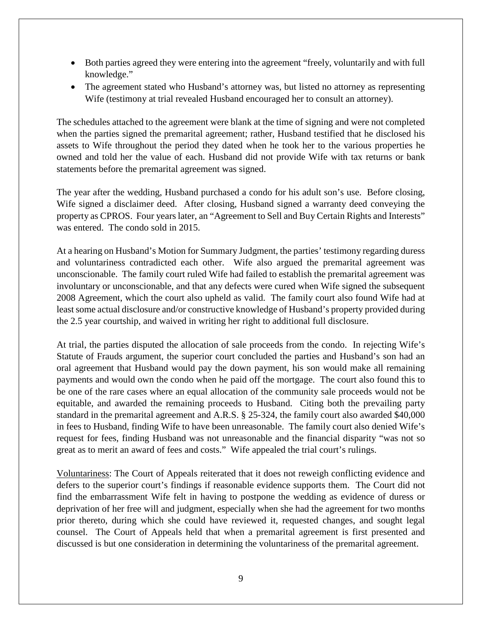- Both parties agreed they were entering into the agreement "freely, voluntarily and with full knowledge."
- The agreement stated who Husband's attorney was, but listed no attorney as representing Wife (testimony at trial revealed Husband encouraged her to consult an attorney).

The schedules attached to the agreement were blank at the time of signing and were not completed when the parties signed the premarital agreement; rather, Husband testified that he disclosed his assets to Wife throughout the period they dated when he took her to the various properties he owned and told her the value of each. Husband did not provide Wife with tax returns or bank statements before the premarital agreement was signed.

The year after the wedding, Husband purchased a condo for his adult son's use. Before closing, Wife signed a disclaimer deed. After closing, Husband signed a warranty deed conveying the property as CPROS. Four years later, an "Agreement to Sell and Buy Certain Rights and Interests" was entered. The condo sold in 2015.

At a hearing on Husband's Motion for Summary Judgment, the parties' testimony regarding duress and voluntariness contradicted each other. Wife also argued the premarital agreement was unconscionable. The family court ruled Wife had failed to establish the premarital agreement was involuntary or unconscionable, and that any defects were cured when Wife signed the subsequent 2008 Agreement, which the court also upheld as valid. The family court also found Wife had at least some actual disclosure and/or constructive knowledge of Husband's property provided during the 2.5 year courtship, and waived in writing her right to additional full disclosure.

At trial, the parties disputed the allocation of sale proceeds from the condo. In rejecting Wife's Statute of Frauds argument, the superior court concluded the parties and Husband's son had an oral agreement that Husband would pay the down payment, his son would make all remaining payments and would own the condo when he paid off the mortgage. The court also found this to be one of the rare cases where an equal allocation of the community sale proceeds would not be equitable, and awarded the remaining proceeds to Husband. Citing both the prevailing party standard in the premarital agreement and A.R.S. § 25-324, the family court also awarded \$40,000 in fees to Husband, finding Wife to have been unreasonable. The family court also denied Wife's request for fees, finding Husband was not unreasonable and the financial disparity "was not so great as to merit an award of fees and costs." Wife appealed the trial court's rulings.

Voluntariness: The Court of Appeals reiterated that it does not reweigh conflicting evidence and defers to the superior court's findings if reasonable evidence supports them. The Court did not find the embarrassment Wife felt in having to postpone the wedding as evidence of duress or deprivation of her free will and judgment, especially when she had the agreement for two months prior thereto, during which she could have reviewed it, requested changes, and sought legal counsel. The Court of Appeals held that when a premarital agreement is first presented and discussed is but one consideration in determining the voluntariness of the premarital agreement.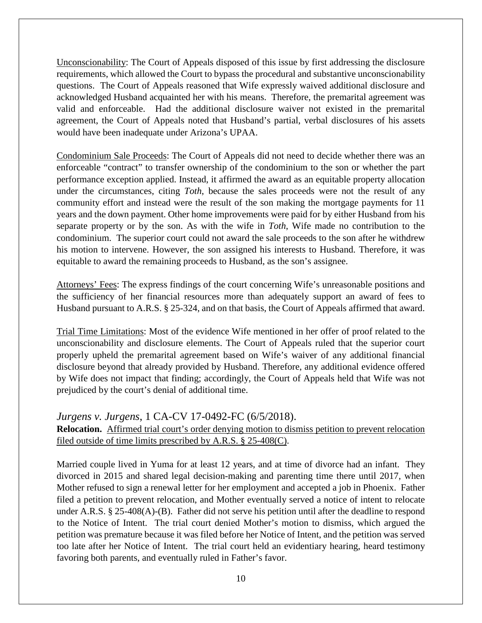Unconscionability: The Court of Appeals disposed of this issue by first addressing the disclosure requirements, which allowed the Court to bypass the procedural and substantive unconscionability questions. The Court of Appeals reasoned that Wife expressly waived additional disclosure and acknowledged Husband acquainted her with his means. Therefore, the premarital agreement was valid and enforceable. Had the additional disclosure waiver not existed in the premarital agreement, the Court of Appeals noted that Husband's partial, verbal disclosures of his assets would have been inadequate under Arizona's UPAA.

Condominium Sale Proceeds: The Court of Appeals did not need to decide whether there was an enforceable "contract" to transfer ownership of the condominium to the son or whether the part performance exception applied. Instead, it affirmed the award as an equitable property allocation under the circumstances, citing *Toth*, because the sales proceeds were not the result of any community effort and instead were the result of the son making the mortgage payments for 11 years and the down payment. Other home improvements were paid for by either Husband from his separate property or by the son. As with the wife in *Toth*, Wife made no contribution to the condominium. The superior court could not award the sale proceeds to the son after he withdrew his motion to intervene. However, the son assigned his interests to Husband. Therefore, it was equitable to award the remaining proceeds to Husband, as the son's assignee.

Attorneys' Fees: The express findings of the court concerning Wife's unreasonable positions and the sufficiency of her financial resources more than adequately support an award of fees to Husband pursuant to A.R.S. § 25-324, and on that basis, the Court of Appeals affirmed that award.

Trial Time Limitations: Most of the evidence Wife mentioned in her offer of proof related to the unconscionability and disclosure elements. The Court of Appeals ruled that the superior court properly upheld the premarital agreement based on Wife's waiver of any additional financial disclosure beyond that already provided by Husband. Therefore, any additional evidence offered by Wife does not impact that finding; accordingly, the Court of Appeals held that Wife was not prejudiced by the court's denial of additional time.

### *Jurgens v. Jurgens*, 1 CA-CV 17-0492-FC (6/5/2018).

### **Relocation.** Affirmed trial court's order denying motion to dismiss petition to prevent relocation filed outside of time limits prescribed by A.R.S. § 25-408(C).

Married couple lived in Yuma for at least 12 years, and at time of divorce had an infant. They divorced in 2015 and shared legal decision-making and parenting time there until 2017, when Mother refused to sign a renewal letter for her employment and accepted a job in Phoenix. Father filed a petition to prevent relocation, and Mother eventually served a notice of intent to relocate under A.R.S. § 25-408(A)-(B). Father did not serve his petition until after the deadline to respond to the Notice of Intent. The trial court denied Mother's motion to dismiss, which argued the petition was premature because it was filed before her Notice of Intent, and the petition was served too late after her Notice of Intent. The trial court held an evidentiary hearing, heard testimony favoring both parents, and eventually ruled in Father's favor.